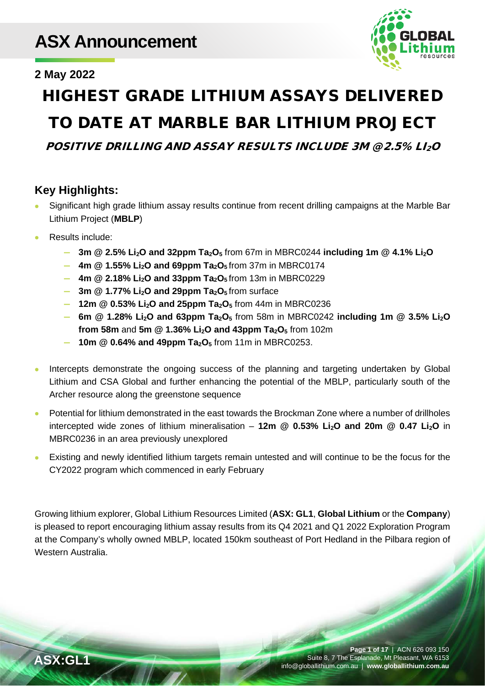# **ASX Announcement**



## **2 May 2022**

# HIGHEST GRADE LITHIUM ASSAYS DELIVERED TO DATE AT MARBLE BAR LITHIUM PROJECT

POSITIVE DRILLING AND ASSAY RESULTS INCLUDE 3M @ 2.5% LI2O

# **Key Highlights:**

- Significant high grade lithium assay results continue from recent drilling campaigns at the Marble Bar Lithium Project (**MBLP**)
- Results include:
	- **— 3m @ 2.5% Li2O and 32ppm Ta2O5** from 67m in MBRC0244 **including 1m @ 4.1% Li2O**
	- **— 4m @ 1.55% Li2O and 69ppm Ta2O5** from 37m in MBRC0174
	- **— 4m @ 2.18% Li2O and 33ppm Ta2O5** from 13m in MBRC0229
	- $-$  **3m @ 1.77% Li<sub>2</sub>O and 29ppm Ta<sub>2</sub>O<sub>5</sub> from surface**
	- **— 12m @ 0.53% Li2O and 25ppm Ta2O5** from 44m in MBRC0236
	- **— 6m @ 1.28% Li2O and 63ppm Ta2O5** from 58m in MBRC0242 **including 1m @ 3.5% Li2O from 58m and 5m @ 1.36% Li<sub>2</sub>O and 43ppm Ta<sub>2</sub>O<sub>5</sub> from 102m**
	- **— 10m @ 0.64% and 49ppm Ta2O5** from 11m in MBRC0253.
- Intercepts demonstrate the ongoing success of the planning and targeting undertaken by Global Lithium and CSA Global and further enhancing the potential of the MBLP, particularly south of the Archer resource along the greenstone sequence
- Potential for lithium demonstrated in the east towards the Brockman Zone where a number of drillholes intercepted wide zones of lithium mineralisation – 12m @ 0.53% Li<sub>2</sub>O and 20m @ 0.47 Li<sub>2</sub>O in MBRC0236 in an area previously unexplored
- Existing and newly identified lithium targets remain untested and will continue to be the focus for the CY2022 program which commenced in early February

Growing lithium explorer, Global Lithium Resources Limited (**ASX: GL1**, **Global Lithium** or the **Company**) is pleased to report encouraging lithium assay results from its Q4 2021 and Q1 2022 Exploration Program at the Company's wholly owned MBLP, located 150km southeast of Port Hedland in the Pilbara region of Western Australia.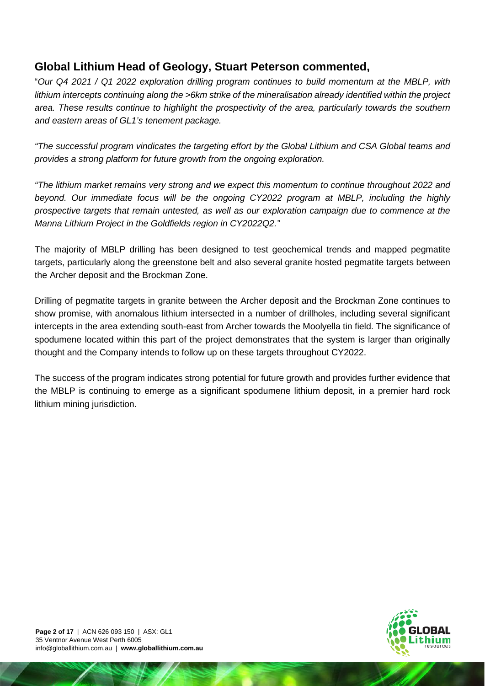## **Global Lithium Head of Geology, Stuart Peterson commented,**

"*Our Q4 2021 / Q1 2022 exploration drilling program continues to build momentum at the MBLP, with lithium intercepts continuing along the >6km strike of the mineralisation already identified within the project area. These results continue to highlight the prospectivity of the area, particularly towards the southern and eastern areas of GL1's tenement package.* 

*"The successful program vindicates the targeting effort by the Global Lithium and CSA Global teams and provides a strong platform for future growth from the ongoing exploration.*

*"The lithium market remains very strong and we expect this momentum to continue throughout 2022 and beyond. Our immediate focus will be the ongoing CY2022 program at MBLP, including the highly prospective targets that remain untested, as well as our exploration campaign due to commence at the Manna Lithium Project in the Goldfields region in CY2022Q2."*

The majority of MBLP drilling has been designed to test geochemical trends and mapped pegmatite targets, particularly along the greenstone belt and also several granite hosted pegmatite targets between the Archer deposit and the Brockman Zone.

Drilling of pegmatite targets in granite between the Archer deposit and the Brockman Zone continues to show promise, with anomalous lithium intersected in a number of drillholes, including several significant intercepts in the area extending south-east from Archer towards the Moolyella tin field. The significance of spodumene located within this part of the project demonstrates that the system is larger than originally thought and the Company intends to follow up on these targets throughout CY2022.

The success of the program indicates strong potential for future growth and provides further evidence that the MBLP is continuing to emerge as a significant spodumene lithium deposit, in a premier hard rock lithium mining jurisdiction.

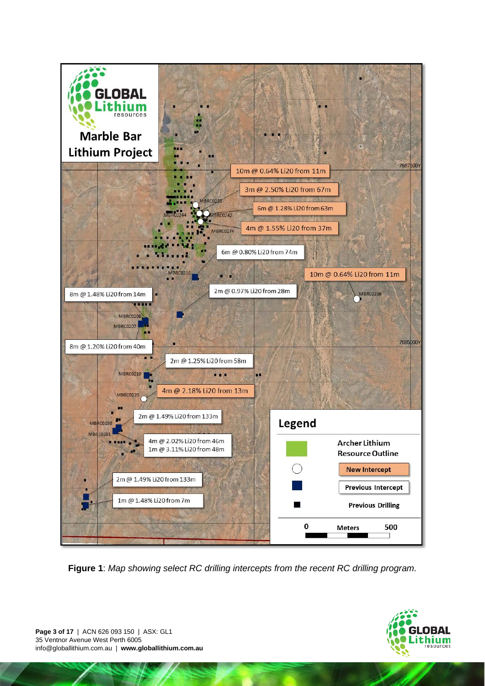

**Figure 1**: *Map showing select RC drilling intercepts from the recent RC drilling program.*

**Page 3 of 17** | ACN 626 093 150 | ASX: GL1 35 Ventnor Avenue West Perth 6005 info@globallithium.com.au | **www.globallithium.com.au**

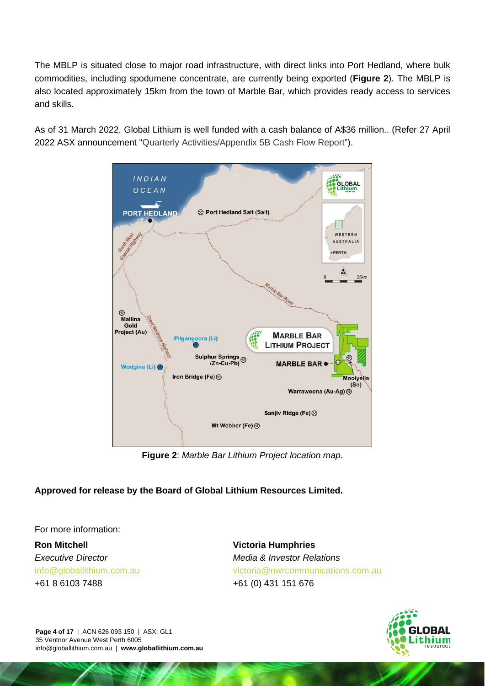The MBLP is situated close to major road infrastructure, with direct links into Port Hedland, where bulk commodities, including spodumene concentrate, are currently being exported (**Figure 2**). The MBLP is also located approximately 15km from the town of Marble Bar, which provides ready access to services and skills.

As of 31 March 2022, Global Lithium is well funded with a cash balance of A\$36 million.. (Refer 27 April 2022 ASX announcement ["Quarterly Activities/Appendix 5B](https://wcsecure.weblink.com.au/clients/globallithium/headline.aspx?headlineid=61088365) Cash Flow Report").



**Figure 2**: *Marble Bar Lithium Project location map.*

## **Approved for release by the Board of Global Lithium Resources Limited.**

For more information:

**Ron Mitchell** *Executive Director* [info@globallithium.com.au](mailto:info@globallithium.com.au)

+61 8 6103 7488

**Victoria Humphries** *Media & Investor Relations* [victoria@nwrcommunications.com.au](mailto:victoria@nwrcommunications.com.au) +61 (0) 431 151 676



**Page 4 of 17** | ACN 626 093 150 | ASX: GL1 35 Ventnor Avenue West Perth 6005 info@globallithium.com.au | **www.globallithium.com.au**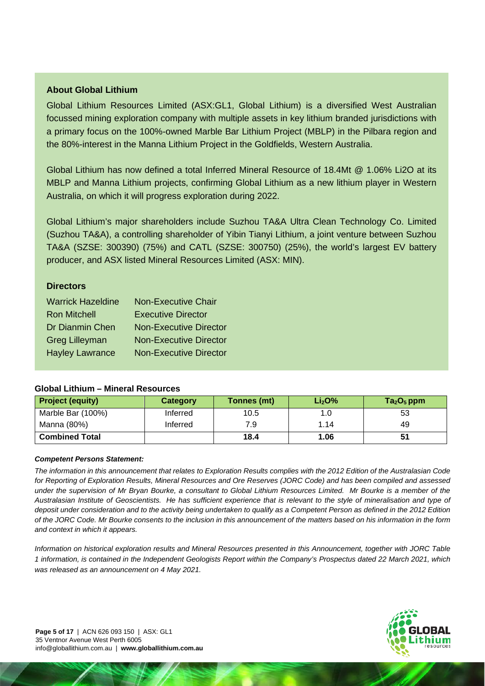#### **About Global Lithium**

Global Lithium Resources Limited (ASX:GL1, Global Lithium) is a diversified West Australian focussed mining exploration company with multiple assets in key lithium branded jurisdictions with a primary focus on the 100%-owned Marble Bar Lithium Project (MBLP) in the Pilbara region and the 80%-interest in the Manna Lithium Project in the Goldfields, Western Australia.

Global Lithium has now defined a total Inferred Mineral Resource of 18.4Mt @ 1.06% Li2O at its MBLP and Manna Lithium projects, confirming Global Lithium as a new lithium player in Western Australia, on which it will progress exploration during 2022.

Global Lithium's major shareholders include Suzhou TA&A Ultra Clean Technology Co. Limited (Suzhou TA&A), a controlling shareholder of Yibin Tianyi Lithium, a joint venture between Suzhou TA&A (SZSE: 300390) (75%) and CATL (SZSE: 300750) (25%), the world's largest EV battery producer, and ASX listed Mineral Resources Limited (ASX: MIN).

#### **Directors**

| <b>Warrick Hazeldine</b> | <b>Non-Executive Chair</b>    |
|--------------------------|-------------------------------|
| <b>Ron Mitchell</b>      | <b>Executive Director</b>     |
| Dr Dianmin Chen          | <b>Non-Executive Director</b> |
| <b>Greg Lilleyman</b>    | <b>Non-Executive Director</b> |
| <b>Hayley Lawrance</b>   | <b>Non-Executive Director</b> |

#### **Global Lithium – Mineral Resources**

| <b>Project (equity)</b> | Category | Tonnes (mt) | Li <sub>2</sub> O <sup>0</sup> | $Ta2O5$ ppm |
|-------------------------|----------|-------------|--------------------------------|-------------|
| Marble Bar (100%)       | Inferred | 10.5        | 1.0                            | 53          |
| Manna (80%)             | Inferred | 7.9         | 1.14                           | 49          |
| <b>Combined Total</b>   |          | 18.4        | 1.06                           |             |

#### *Competent Persons Statement:*

*The information in this announcement that relates to Exploration Results complies with the 2012 Edition of the Australasian Code for Reporting of Exploration Results, Mineral Resources and Ore Reserves (JORC Code) and has been compiled and assessed under the supervision of Mr Bryan Bourke, a consultant to Global Lithium Resources Limited. Mr Bourke is a member of the Australasian Institute of Geoscientists. He has sufficient experience that is relevant to the style of mineralisation and type of deposit under consideration and to the activity being undertaken to qualify as a Competent Person as defined in the 2012 Edition of the JORC Code. Mr Bourke consents to the inclusion in this announcement of the matters based on his information in the form and context in which it appears.* 

*Information on historical exploration results and Mineral Resources presented in this Announcement, together with JORC Table 1 information, is contained in the Independent Geologists Report within the Company's Prospectus dated 22 March 2021, which was released as an announcement on 4 May 2021.* 

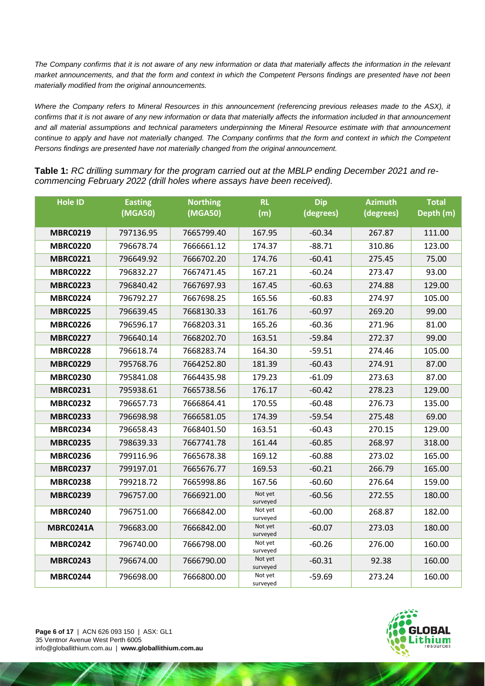*The Company confirms that it is not aware of any new information or data that materially affects the information in the relevant market announcements, and that the form and context in which the Competent Persons findings are presented have not been materially modified from the original announcements.* 

*Where the Company refers to Mineral Resources in this announcement (referencing previous releases made to the ASX), it confirms that it is not aware of any new information or data that materially affects the information included in that announcement and all material assumptions and technical parameters underpinning the Mineral Resource estimate with that announcement continue to apply and have not materially changed. The Company confirms that the form and context in which the Competent Persons findings are presented have not materially changed from the original announcement.*

**Table 1:** *RC drilling summary for the program carried out at the MBLP ending December 2021 and recommencing February 2022 (drill holes where assays have been received).*

| <b>Hole ID</b>   | <b>Easting</b><br>(MGA50) | <b>Northing</b><br>(MGA50) | <b>RL</b><br>(m)    | <b>Dip</b><br>(degrees) | <b>Azimuth</b><br>(degrees) | <b>Total</b><br>Depth (m) |
|------------------|---------------------------|----------------------------|---------------------|-------------------------|-----------------------------|---------------------------|
|                  |                           |                            |                     |                         |                             |                           |
| <b>MBRC0219</b>  | 797136.95                 | 7665799.40                 | 167.95              | $-60.34$                | 267.87                      | 111.00                    |
| <b>MBRC0220</b>  | 796678.74                 | 7666661.12                 | 174.37              | $-88.71$                | 310.86                      | 123.00                    |
| <b>MBRC0221</b>  | 796649.92                 | 7666702.20                 | 174.76              | $-60.41$                | 275.45                      | 75.00                     |
| <b>MBRC0222</b>  | 796832.27                 | 7667471.45                 | 167.21              | $-60.24$                | 273.47                      | 93.00                     |
| <b>MBRC0223</b>  | 796840.42                 | 7667697.93                 | 167.45              | $-60.63$                | 274.88                      | 129.00                    |
| <b>MBRC0224</b>  | 796792.27                 | 7667698.25                 | 165.56              | $-60.83$                | 274.97                      | 105.00                    |
| <b>MBRC0225</b>  | 796639.45                 | 7668130.33                 | 161.76              | $-60.97$                | 269.20                      | 99.00                     |
| <b>MBRC0226</b>  | 796596.17                 | 7668203.31                 | 165.26              | $-60.36$                | 271.96                      | 81.00                     |
| <b>MBRC0227</b>  | 796640.14                 | 7668202.70                 | 163.51              | $-59.84$                | 272.37                      | 99.00                     |
| <b>MBRC0228</b>  | 796618.74                 | 7668283.74                 | 164.30              | $-59.51$                | 274.46                      | 105.00                    |
| <b>MBRC0229</b>  | 795768.76                 | 7664252.80                 | 181.39              | $-60.43$                | 274.91                      | 87.00                     |
| <b>MBRC0230</b>  | 795841.08                 | 7664435.98                 | 179.23              | $-61.09$                | 273.63                      | 87.00                     |
| <b>MBRC0231</b>  | 795938.61                 | 7665738.56                 | 176.17              | $-60.42$                | 278.23                      | 129.00                    |
| <b>MBRC0232</b>  | 796657.73                 | 7666864.41                 | 170.55              | $-60.48$                | 276.73                      | 135.00                    |
| <b>MBRC0233</b>  | 796698.98                 | 7666581.05                 | 174.39              | $-59.54$                | 275.48                      | 69.00                     |
| <b>MBRC0234</b>  | 796658.43                 | 7668401.50                 | 163.51              | $-60.43$                | 270.15                      | 129.00                    |
| <b>MBRC0235</b>  | 798639.33                 | 7667741.78                 | 161.44              | $-60.85$                | 268.97                      | 318.00                    |
| <b>MBRC0236</b>  | 799116.96                 | 7665678.38                 | 169.12              | $-60.88$                | 273.02                      | 165.00                    |
| <b>MBRC0237</b>  | 799197.01                 | 7665676.77                 | 169.53              | $-60.21$                | 266.79                      | 165.00                    |
| <b>MBRC0238</b>  | 799218.72                 | 7665998.86                 | 167.56              | $-60.60$                | 276.64                      | 159.00                    |
| <b>MBRC0239</b>  | 796757.00                 | 7666921.00                 | Not yet<br>surveyed | $-60.56$                | 272.55                      | 180.00                    |
| <b>MBRC0240</b>  | 796751.00                 | 7666842.00                 | Not yet<br>surveyed | $-60.00$                | 268.87                      | 182.00                    |
| <b>MBRC0241A</b> | 796683.00                 | 7666842.00                 | Not yet<br>surveyed | $-60.07$                | 273.03                      | 180.00                    |
| <b>MBRC0242</b>  | 796740.00                 | 7666798.00                 | Not yet<br>surveyed | $-60.26$                | 276.00                      | 160.00                    |
| <b>MBRC0243</b>  | 796674.00                 | 7666790.00                 | Not yet<br>surveyed | $-60.31$                | 92.38                       | 160.00                    |
| <b>MBRC0244</b>  | 796698.00                 | 7666800.00                 | Not yet<br>surveyed | $-59.69$                | 273.24                      | 160.00                    |

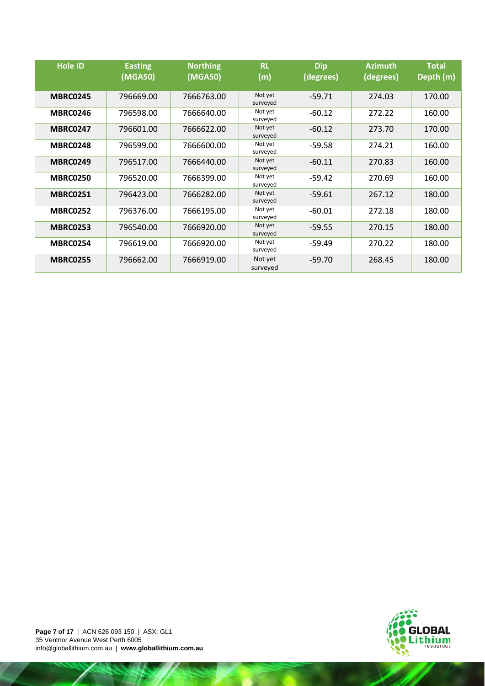| <b>Hole ID</b>  | <b>Easting</b><br>(MGA50) | <b>Northing</b><br>(MGA50) | <b>RL</b><br>(m)    | <b>Dip</b><br>(degrees) | <b>Azimuth</b><br>(degrees) | <b>Total</b><br>Depth (m) |
|-----------------|---------------------------|----------------------------|---------------------|-------------------------|-----------------------------|---------------------------|
| <b>MBRC0245</b> | 796669.00                 | 7666763.00                 | Not yet<br>surveyed | $-59.71$                | 274.03                      | 170.00                    |
| <b>MBRC0246</b> | 796598.00                 | 7666640.00                 | Not yet<br>surveyed | $-60.12$                | 272.22                      | 160.00                    |
| <b>MBRC0247</b> | 796601.00                 | 7666622.00                 | Not yet<br>surveyed | $-60.12$                | 273.70                      | 170.00                    |
| <b>MBRC0248</b> | 796599.00                 | 7666600.00                 | Not yet<br>surveyed | $-59.58$                | 274.21                      | 160.00                    |
| <b>MBRC0249</b> | 796517.00                 | 7666440.00                 | Not yet<br>surveyed | $-60.11$                | 270.83                      | 160.00                    |
| <b>MBRC0250</b> | 796520.00                 | 7666399.00                 | Not yet<br>surveyed | $-59.42$                | 270.69                      | 160.00                    |
| <b>MBRC0251</b> | 796423.00                 | 7666282.00                 | Not yet<br>surveyed | $-59.61$                | 267.12                      | 180.00                    |
| <b>MBRC0252</b> | 796376.00                 | 7666195.00                 | Not yet<br>surveyed | $-60.01$                | 272.18                      | 180.00                    |
| <b>MBRC0253</b> | 796540.00                 | 7666920.00                 | Not yet<br>surveyed | $-59.55$                | 270.15                      | 180.00                    |
| <b>MBRC0254</b> | 796619.00                 | 7666920.00                 | Not yet<br>surveyed | $-59.49$                | 270.22                      | 180.00                    |
| <b>MBRC0255</b> | 796662.00                 | 7666919.00                 | Not yet<br>surveyed | $-59.70$                | 268.45                      | 180.00                    |

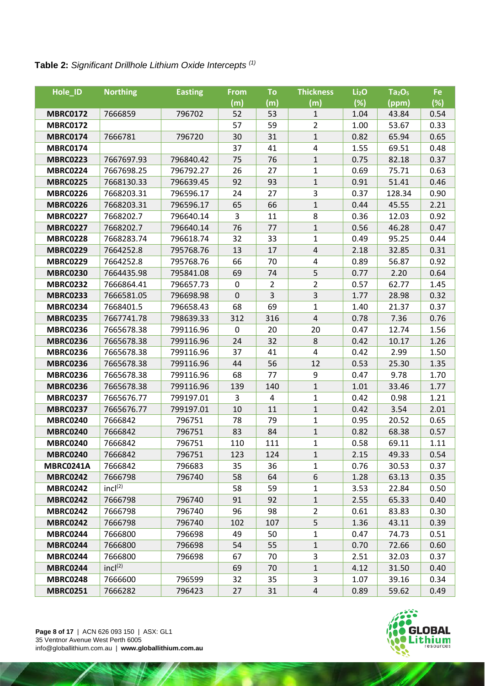## **Table 2:** *Significant Drillhole Lithium Oxide Intercepts (1)*

| Hole_ID         | <b>Northing</b>     | <b>Easting</b> | <b>From</b> | To             | <b>Thickness</b>         | Li <sub>2</sub> O | Ta <sub>2</sub> O <sub>5</sub> | Fe   |
|-----------------|---------------------|----------------|-------------|----------------|--------------------------|-------------------|--------------------------------|------|
|                 |                     |                | (m)         | (m)            | (m)                      | (%)               | (ppm)                          | (%)  |
| <b>MBRC0172</b> | 7666859             | 796702         | 52          | 53             | 1                        | 1.04              | 43.84                          | 0.54 |
| <b>MBRC0172</b> |                     |                | 57          | 59             | $\overline{2}$           | 1.00              | 53.67                          | 0.33 |
| <b>MBRC0174</b> | 7666781             | 796720         | 30          | 31             | $\mathbf{1}$             | 0.82              | 65.94                          | 0.65 |
| <b>MBRC0174</b> |                     |                | 37          | 41             | $\overline{\mathcal{A}}$ | 1.55              | 69.51                          | 0.48 |
| <b>MBRC0223</b> | 7667697.93          | 796840.42      | 75          | 76             | $\mathbf{1}$             | 0.75              | 82.18                          | 0.37 |
| <b>MBRC0224</b> | 7667698.25          | 796792.27      | 26          | 27             | $\mathbf{1}$             | 0.69              | 75.71                          | 0.63 |
| <b>MBRC0225</b> | 7668130.33          | 796639.45      | 92          | 93             | 1                        | 0.91              | 51.41                          | 0.46 |
| <b>MBRC0226</b> | 7668203.31          | 796596.17      | 24          | 27             | 3                        | 0.37              | 128.34                         | 0.90 |
| <b>MBRC0226</b> | 7668203.31          | 796596.17      | 65          | 66             | $\mathbf{1}$             | 0.44              | 45.55                          | 2.21 |
| <b>MBRC0227</b> | 7668202.7           | 796640.14      | 3           | 11             | 8                        | 0.36              | 12.03                          | 0.92 |
| <b>MBRC0227</b> | 7668202.7           | 796640.14      | 76          | 77             | $\mathbf{1}$             | 0.56              | 46.28                          | 0.47 |
| <b>MBRC0228</b> | 7668283.74          | 796618.74      | 32          | 33             | 1                        | 0.49              | 95.25                          | 0.44 |
| <b>MBRC0229</b> | 7664252.8           | 795768.76      | 13          | 17             | $\pmb{4}$                | 2.18              | 32.85                          | 0.31 |
| <b>MBRC0229</b> | 7664252.8           | 795768.76      | 66          | 70             | 4                        | 0.89              | 56.87                          | 0.92 |
| <b>MBRC0230</b> | 7664435.98          | 795841.08      | 69          | 74             | 5                        | 0.77              | 2.20                           | 0.64 |
| <b>MBRC0232</b> | 7666864.41          | 796657.73      | $\pmb{0}$   | $\overline{2}$ | $\overline{2}$           | 0.57              | 62.77                          | 1.45 |
| <b>MBRC0233</b> | 7666581.05          | 796698.98      | $\pmb{0}$   | 3              | 3                        | 1.77              | 28.98                          | 0.32 |
| <b>MBRC0234</b> | 7668401.5           | 796658.43      | 68          | 69             | 1                        | 1.40              | 21.37                          | 0.37 |
| <b>MBRC0235</b> | 7667741.78          | 798639.33      | 312         | 316            | $\sqrt{4}$               | 0.78              | 7.36                           | 0.76 |
| <b>MBRC0236</b> | 7665678.38          | 799116.96      | 0           | 20             | 20                       | 0.47              | 12.74                          | 1.56 |
| <b>MBRC0236</b> | 7665678.38          | 799116.96      | 24          | 32             | $\bf 8$                  | 0.42              | 10.17                          | 1.26 |
| <b>MBRC0236</b> | 7665678.38          | 799116.96      | 37          | 41             | 4                        | 0.42              | 2.99                           | 1.50 |
| <b>MBRC0236</b> | 7665678.38          | 799116.96      | 44          | 56             | 12                       | 0.53              | 25.30                          | 1.35 |
| <b>MBRC0236</b> | 7665678.38          | 799116.96      | 68          | 77             | 9                        | 0.47              | 9.78                           | 1.70 |
| <b>MBRC0236</b> | 7665678.38          | 799116.96      | 139         | 140            | $\mathbf 1$              | 1.01              | 33.46                          | 1.77 |
| <b>MBRC0237</b> | 7665676.77          | 799197.01      | 3           | 4              | 1                        | 0.42              | 0.98                           | 1.21 |
| <b>MBRC0237</b> | 7665676.77          | 799197.01      | 10          | 11             | $\mathbf 1$              | 0.42              | 3.54                           | 2.01 |
| <b>MBRC0240</b> | 7666842             | 796751         | 78          | 79             | $\mathbf{1}$             | 0.95              | 20.52                          | 0.65 |
| <b>MBRC0240</b> | 7666842             | 796751         | 83          | 84             | 1                        | 0.82              | 68.38                          | 0.57 |
| <b>MBRC0240</b> | 7666842             | 796751         | 110         | 111            | $\mathbf{1}$             | 0.58              | 69.11                          | 1.11 |
| <b>MBRC0240</b> | 7666842             | 796751         | 123         | 124            | $\mathbf{1}$             | 2.15              | 49.33                          | 0.54 |
| MBRC0241A       | 7666842             | 796683         | 35          | 36             | 1                        | 0.76              | 30.53                          | 0.37 |
| <b>MBRC0242</b> | 7666798             | 796740         | 58          | 64             | 6                        | 1.28              | 63.13                          | 0.35 |
| <b>MBRC0242</b> | incl <sup>(2)</sup> |                | 58          | 59             | $\mathbf{1}$             | 3.53              | 22.84                          | 0.50 |
| <b>MBRC0242</b> | 7666798             | 796740         | 91          | 92             | 1                        | 2.55              | 65.33                          | 0.40 |
| <b>MBRC0242</b> | 7666798             | 796740         | 96          | 98             | $\overline{2}$           | 0.61              | 83.83                          | 0.30 |
| <b>MBRC0242</b> | 7666798             | 796740         | 102         | 107            | 5                        | 1.36              | 43.11                          | 0.39 |
| <b>MBRC0244</b> | 7666800             | 796698         | 49          | 50             | 1                        | 0.47              | 74.73                          | 0.51 |
| <b>MBRC0244</b> | 7666800             | 796698         | 54          | 55             | $\mathbf{1}$             | 0.70              | 72.66                          | 0.60 |
| <b>MBRC0244</b> | 7666800             | 796698         | 67          | 70             | 3                        | 2.51              | 32.03                          | 0.37 |
| <b>MBRC0244</b> | incl <sup>(2)</sup> |                | 69          | 70             | 1                        | 4.12              | 31.50                          | 0.40 |
| <b>MBRC0248</b> | 7666600             | 796599         | 32          | 35             | 3                        | 1.07              | 39.16                          | 0.34 |
| <b>MBRC0251</b> | 7666282             | 796423         | 27          | 31             | $\overline{4}$           | 0.89              | 59.62                          | 0.49 |

**Page 8 of 17** | ACN 626 093 150 | ASX: GL1 35 Ventnor Avenue West Perth 6005 info@globallithium.com.au | **www.globallithium.com.au**

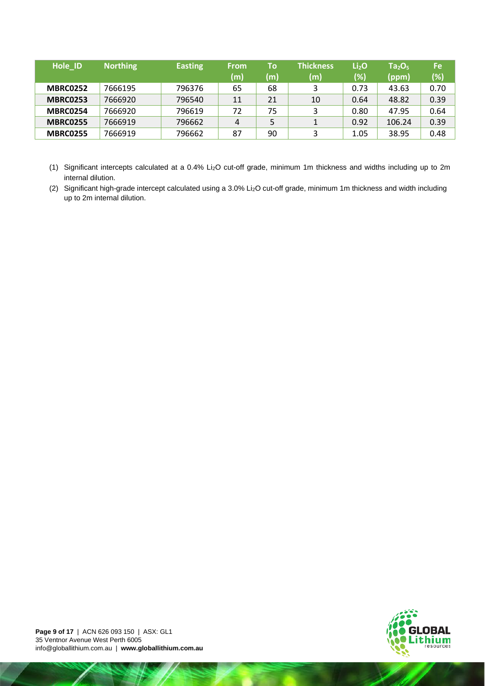| Hole ID         | <b>Northing</b> | <b>Easting</b> | <b>From</b><br>(m) | To<br>(m) | Thickness<br>(m) | Li <sub>2</sub> O<br>$(\%)$ | Ta <sub>2</sub> O <sub>5</sub><br>(ppm) | <b>Fe</b><br>(%) |
|-----------------|-----------------|----------------|--------------------|-----------|------------------|-----------------------------|-----------------------------------------|------------------|
| <b>MBRC0252</b> | 7666195         | 796376         | 65                 | 68        | 3                | 0.73                        | 43.63                                   | 0.70             |
| <b>MBRC0253</b> | 7666920         | 796540         | 11                 | 21        | 10               | 0.64                        | 48.82                                   | 0.39             |
| MBRC0254        | 7666920         | 796619         | 72                 | 75        | 3                | 0.80                        | 47.95                                   | 0.64             |
| <b>MBRC0255</b> | 7666919         | 796662         | 4                  | 5         |                  | 0.92                        | 106.24                                  | 0.39             |
| <b>MBRC0255</b> | 7666919         | 796662         | 87                 | 90        | 3                | 1.05                        | 38.95                                   | 0.48             |

- (1) Significant intercepts calculated at a 0.4% Li2O cut-off grade, minimum 1m thickness and widths including up to 2m internal dilution.
- (2) Significant high-grade intercept calculated using a 3.0% Li2O cut-off grade, minimum 1m thickness and width including up to 2m internal dilution.

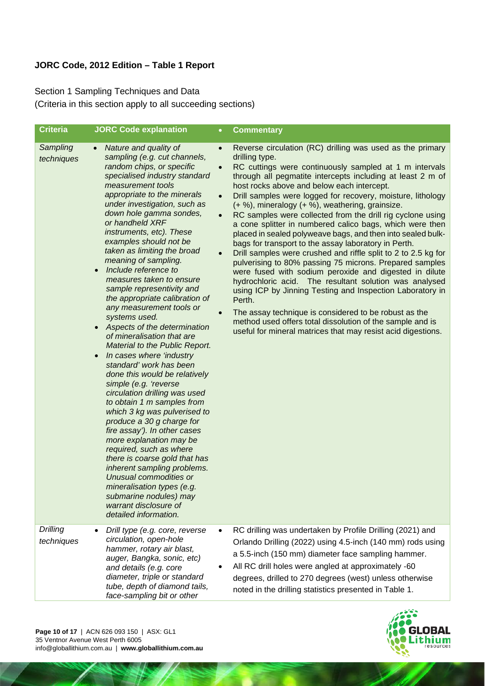### **JORC Code, 2012 Edition – Table 1 Report**

Section 1 Sampling Techniques and Data (Criteria in this section apply to all succeeding sections)

| <b>Criteria</b>               | <b>JORC Code explanation</b>                                                                                                                                                                                                                                                                                                                                                                                                                                                                                                                                                                                                                                                                                                                                                                                                                                                                                                                                                                                                                                                                                                                                                                        | <b>Commentary</b><br>$\bullet$                                                                                                                                                                                                                                                                                                                                                                                                                                                                                                                                                                                                                                                                                                                                                                                                                                                                                                                                                                                                                                                                                                                                                                      |
|-------------------------------|-----------------------------------------------------------------------------------------------------------------------------------------------------------------------------------------------------------------------------------------------------------------------------------------------------------------------------------------------------------------------------------------------------------------------------------------------------------------------------------------------------------------------------------------------------------------------------------------------------------------------------------------------------------------------------------------------------------------------------------------------------------------------------------------------------------------------------------------------------------------------------------------------------------------------------------------------------------------------------------------------------------------------------------------------------------------------------------------------------------------------------------------------------------------------------------------------------|-----------------------------------------------------------------------------------------------------------------------------------------------------------------------------------------------------------------------------------------------------------------------------------------------------------------------------------------------------------------------------------------------------------------------------------------------------------------------------------------------------------------------------------------------------------------------------------------------------------------------------------------------------------------------------------------------------------------------------------------------------------------------------------------------------------------------------------------------------------------------------------------------------------------------------------------------------------------------------------------------------------------------------------------------------------------------------------------------------------------------------------------------------------------------------------------------------|
| Sampling<br>techniques        | Nature and quality of<br>$\bullet$<br>sampling (e.g. cut channels,<br>random chips, or specific<br>specialised industry standard<br>measurement tools<br>appropriate to the minerals<br>under investigation, such as<br>down hole gamma sondes,<br>or handheld XRF<br>instruments, etc). These<br>examples should not be<br>taken as limiting the broad<br>meaning of sampling.<br>Include reference to<br>$\bullet$<br>measures taken to ensure<br>sample representivity and<br>the appropriate calibration of<br>any measurement tools or<br>systems used.<br>Aspects of the determination<br>of mineralisation that are<br>Material to the Public Report.<br>In cases where 'industry<br>standard' work has been<br>done this would be relatively<br>simple (e.g. 'reverse<br>circulation drilling was used<br>to obtain 1 m samples from<br>which 3 kg was pulverised to<br>produce a 30 g charge for<br>fire assay'). In other cases<br>more explanation may be<br>required, such as where<br>there is coarse gold that has<br>inherent sampling problems.<br>Unusual commodities or<br>mineralisation types (e.g.<br>submarine nodules) may<br>warrant disclosure of<br>detailed information. | Reverse circulation (RC) drilling was used as the primary<br>$\bullet$<br>drilling type.<br>RC cuttings were continuously sampled at 1 m intervals<br>$\bullet$<br>through all pegmatite intercepts including at least 2 m of<br>host rocks above and below each intercept.<br>Drill samples were logged for recovery, moisture, lithology<br>$\bullet$<br>(+ %), mineralogy (+ %), weathering, grainsize.<br>RC samples were collected from the drill rig cyclone using<br>$\bullet$<br>a cone splitter in numbered calico bags, which were then<br>placed in sealed polyweave bags, and then into sealed bulk-<br>bags for transport to the assay laboratory in Perth.<br>Drill samples were crushed and riffle split to 2 to 2.5 kg for<br>$\bullet$<br>pulverising to 80% passing 75 microns. Prepared samples<br>were fused with sodium peroxide and digested in dilute<br>hydrochloric acid. The resultant solution was analysed<br>using ICP by Jinning Testing and Inspection Laboratory in<br>Perth.<br>The assay technique is considered to be robust as the<br>method used offers total dissolution of the sample and is<br>useful for mineral matrices that may resist acid digestions. |
| <b>Drilling</b><br>techniques | Drill type (e.g. core, reverse<br>circulation, open-hole<br>hammer, rotary air blast,<br>auger, Bangka, sonic, etc)<br>and details (e.g. core<br>diameter, triple or standard<br>tube, depth of diamond tails,<br>face-sampling bit or other                                                                                                                                                                                                                                                                                                                                                                                                                                                                                                                                                                                                                                                                                                                                                                                                                                                                                                                                                        | RC drilling was undertaken by Profile Drilling (2021) and<br>$\bullet$<br>Orlando Drilling (2022) using 4.5-inch (140 mm) rods using<br>a 5.5-inch (150 mm) diameter face sampling hammer.<br>All RC drill holes were angled at approximately -60<br>degrees, drilled to 270 degrees (west) unless otherwise<br>noted in the drilling statistics presented in Table 1.                                                                                                                                                                                                                                                                                                                                                                                                                                                                                                                                                                                                                                                                                                                                                                                                                              |
|                               |                                                                                                                                                                                                                                                                                                                                                                                                                                                                                                                                                                                                                                                                                                                                                                                                                                                                                                                                                                                                                                                                                                                                                                                                     |                                                                                                                                                                                                                                                                                                                                                                                                                                                                                                                                                                                                                                                                                                                                                                                                                                                                                                                                                                                                                                                                                                                                                                                                     |

**Page 10 of 17** | ACN 626 093 150 | ASX: GL1 35 Ventnor Avenue West Perth 6005 info@globallithium.com.au | **www.globallithium.com.au**

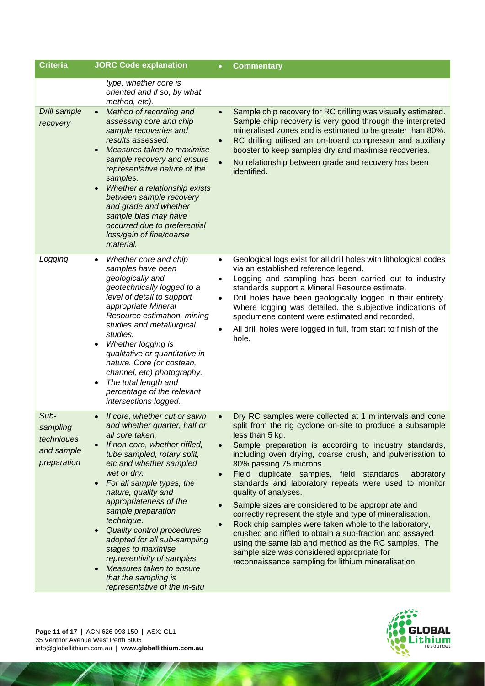| <b>Criteria</b>                                             | <b>JORC Code explanation</b>                                                                                                                                                                                                                                                                                                                                                                                                                                                                                                                 |                                                  | <b>Commentary</b>                                                                                                                                                                                                                                                                                                                                                                                                                                                                                                                                                                                                                                                                                                                                                                                                                      |
|-------------------------------------------------------------|----------------------------------------------------------------------------------------------------------------------------------------------------------------------------------------------------------------------------------------------------------------------------------------------------------------------------------------------------------------------------------------------------------------------------------------------------------------------------------------------------------------------------------------------|--------------------------------------------------|----------------------------------------------------------------------------------------------------------------------------------------------------------------------------------------------------------------------------------------------------------------------------------------------------------------------------------------------------------------------------------------------------------------------------------------------------------------------------------------------------------------------------------------------------------------------------------------------------------------------------------------------------------------------------------------------------------------------------------------------------------------------------------------------------------------------------------------|
|                                                             | type, whether core is<br>oriented and if so, by what<br>method, etc).                                                                                                                                                                                                                                                                                                                                                                                                                                                                        |                                                  |                                                                                                                                                                                                                                                                                                                                                                                                                                                                                                                                                                                                                                                                                                                                                                                                                                        |
| Drill sample<br>recovery                                    | Method of recording and<br>$\bullet$<br>assessing core and chip<br>sample recoveries and<br>results assessed.<br>Measures taken to maximise<br>sample recovery and ensure<br>representative nature of the<br>samples.<br>Whether a relationship exists<br>between sample recovery<br>and grade and whether<br>sample bias may have<br>occurred due to preferential<br>loss/gain of fine/coarse<br>material.                                                                                                                                  | $\bullet$<br>$\bullet$                           | Sample chip recovery for RC drilling was visually estimated.<br>Sample chip recovery is very good through the interpreted<br>mineralised zones and is estimated to be greater than 80%.<br>RC drilling utilised an on-board compressor and auxiliary<br>booster to keep samples dry and maximise recoveries.<br>No relationship between grade and recovery has been<br>identified.                                                                                                                                                                                                                                                                                                                                                                                                                                                     |
| Logging                                                     | Whether core and chip<br>samples have been<br>geologically and<br>geotechnically logged to a<br>level of detail to support<br>appropriate Mineral<br>Resource estimation, mining<br>studies and metallurgical<br>studies.<br>Whether logging is<br>qualitative or quantitative in<br>nature. Core (or costean,<br>channel, etc) photography.<br>The total length and<br>percentage of the relevant<br>intersections logged.                                                                                                                  | $\bullet$<br>$\bullet$<br>$\bullet$              | Geological logs exist for all drill holes with lithological codes<br>via an established reference legend.<br>Logging and sampling has been carried out to industry<br>standards support a Mineral Resource estimate.<br>Drill holes have been geologically logged in their entirety.<br>Where logging was detailed, the subjective indications of<br>spodumene content were estimated and recorded.<br>All drill holes were logged in full, from start to finish of the<br>hole.                                                                                                                                                                                                                                                                                                                                                       |
| Sub-<br>sampling<br>techniques<br>and sample<br>preparation | If core, whether cut or sawn<br>and whether quarter, half or<br>all core taken.<br>If non-core, whether riffled,<br>tube sampled, rotary split,<br>etc and whether sampled<br>wet or dry.<br>For all sample types, the<br>$\bullet$<br>nature, quality and<br>appropriateness of the<br>sample preparation<br>technique.<br>Quality control procedures<br>$\bullet$<br>adopted for all sub-sampling<br>stages to maximise<br>representivity of samples.<br>Measures taken to ensure<br>that the sampling is<br>representative of the in-situ | $\bullet$<br>$\bullet$<br>$\bullet$<br>$\bullet$ | Dry RC samples were collected at 1 m intervals and cone<br>split from the rig cyclone on-site to produce a subsample<br>less than 5 kg.<br>Sample preparation is according to industry standards,<br>including oven drying, coarse crush, and pulverisation to<br>80% passing 75 microns.<br>Field duplicate samples, field standards, laboratory<br>standards and laboratory repeats were used to monitor<br>quality of analyses.<br>Sample sizes are considered to be appropriate and<br>correctly represent the style and type of mineralisation.<br>Rock chip samples were taken whole to the laboratory,<br>crushed and riffled to obtain a sub-fraction and assayed<br>using the same lab and method as the RC samples. The<br>sample size was considered appropriate for<br>reconnaissance sampling for lithium mineralisation. |



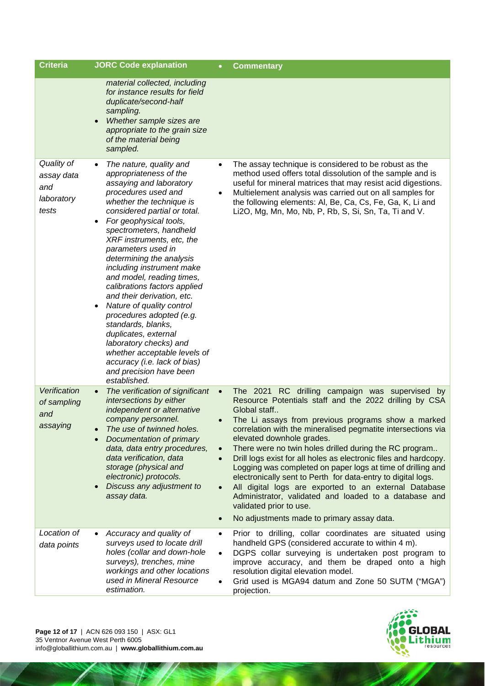| <b>Criteria</b>                                        | <b>JORC Code explanation</b>                                                                                                                                                                                                                                                                                                                                                                                                                                                                                                                                                                                                                                                         |                                                               | <b>Commentary</b>                                                                                                                                                                                                                                                                                                                                                                                                                                                                                                                                                                                                                                                                                                                    |
|--------------------------------------------------------|--------------------------------------------------------------------------------------------------------------------------------------------------------------------------------------------------------------------------------------------------------------------------------------------------------------------------------------------------------------------------------------------------------------------------------------------------------------------------------------------------------------------------------------------------------------------------------------------------------------------------------------------------------------------------------------|---------------------------------------------------------------|--------------------------------------------------------------------------------------------------------------------------------------------------------------------------------------------------------------------------------------------------------------------------------------------------------------------------------------------------------------------------------------------------------------------------------------------------------------------------------------------------------------------------------------------------------------------------------------------------------------------------------------------------------------------------------------------------------------------------------------|
|                                                        | material collected, including<br>for instance results for field<br>duplicate/second-half<br>sampling.<br>Whether sample sizes are<br>appropriate to the grain size<br>of the material being<br>sampled.                                                                                                                                                                                                                                                                                                                                                                                                                                                                              |                                                               |                                                                                                                                                                                                                                                                                                                                                                                                                                                                                                                                                                                                                                                                                                                                      |
| Quality of<br>assay data<br>and<br>laboratory<br>tests | The nature, quality and<br>$\bullet$<br>appropriateness of the<br>assaying and laboratory<br>procedures used and<br>whether the technique is<br>considered partial or total.<br>For geophysical tools,<br>spectrometers, handheld<br>XRF instruments, etc, the<br>parameters used in<br>determining the analysis<br>including instrument make<br>and model, reading times,<br>calibrations factors applied<br>and their derivation, etc.<br>Nature of quality control<br>procedures adopted (e.g.<br>standards, blanks,<br>duplicates, external<br>laboratory checks) and<br>whether acceptable levels of<br>accuracy (i.e. lack of bias)<br>and precision have been<br>established. | $\bullet$                                                     | The assay technique is considered to be robust as the<br>method used offers total dissolution of the sample and is<br>useful for mineral matrices that may resist acid digestions.<br>Multielement analysis was carried out on all samples for<br>the following elements: Al, Be, Ca, Cs, Fe, Ga, K, Li and<br>Li2O, Mg, Mn, Mo, Nb, P, Rb, S, Si, Sn, Ta, Ti and V.                                                                                                                                                                                                                                                                                                                                                                 |
| Verification<br>of sampling<br>and<br>assaying         | The verification of significant<br>$\bullet$<br>intersections by either<br>independent or alternative<br>company personnel.<br>The use of twinned holes.<br>Documentation of primary<br>data, data entry procedures,<br>data verification, data<br>storage (physical and<br>electronic) protocols.<br>Discuss any adjustment to<br>assay data.                                                                                                                                                                                                                                                                                                                                       | $\bullet$<br>$\bullet$<br>$\bullet$<br>$\bullet$<br>$\bullet$ | The 2021 RC drilling campaign was supervised by<br>Resource Potentials staff and the 2022 drilling by CSA<br>Global staff<br>The Li assays from previous programs show a marked<br>correlation with the mineralised pegmatite intersections via<br>elevated downhole grades.<br>There were no twin holes drilled during the RC program<br>Drill logs exist for all holes as electronic files and hardcopy.<br>Logging was completed on paper logs at time of drilling and<br>electronically sent to Perth for data-entry to digital logs.<br>All digital logs are exported to an external Database<br>Administrator, validated and loaded to a database and<br>validated prior to use.<br>No adjustments made to primary assay data. |
| Location of<br>data points                             | Accuracy and quality of<br>surveys used to locate drill<br>holes (collar and down-hole<br>surveys), trenches, mine<br>workings and other locations<br>used in Mineral Resource<br>estimation.                                                                                                                                                                                                                                                                                                                                                                                                                                                                                        | ٠<br>$\bullet$                                                | Prior to drilling, collar coordinates are situated using<br>handheld GPS (considered accurate to within 4 m).<br>DGPS collar surveying is undertaken post program to<br>improve accuracy, and them be draped onto a high<br>resolution digital elevation model.<br>Grid used is MGA94 datum and Zone 50 SUTM ("MGA")<br>projection.                                                                                                                                                                                                                                                                                                                                                                                                  |

**Page 12 of 17** | ACN 626 093 150 | ASX: GL1 35 Ventnor Avenue West Perth 6005 info@globallithium.com.au | **www.globallithium.com.au**

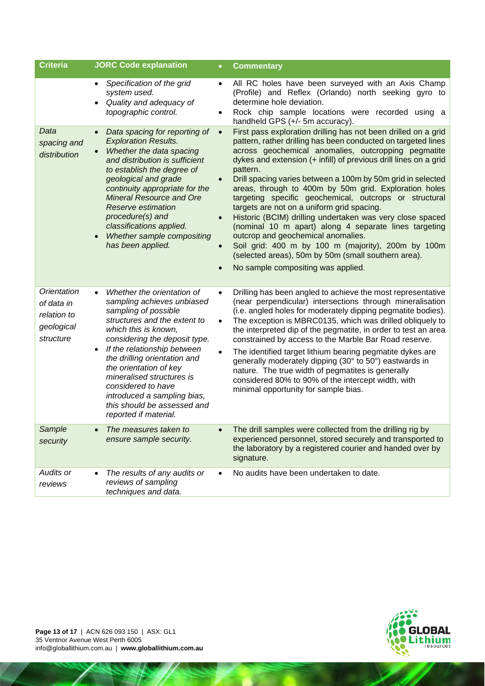| <b>Criteria</b>                                                     | <b>JORC Code explanation</b>                                                                                                                                                                                                                                                                                                                                                                                              | <b>Commentary</b><br>$\bullet$                                                                                                                                                                                                                                                                                                                                                                                                                                                                                                                                                                                                                                                                                                                                                                                                     |
|---------------------------------------------------------------------|---------------------------------------------------------------------------------------------------------------------------------------------------------------------------------------------------------------------------------------------------------------------------------------------------------------------------------------------------------------------------------------------------------------------------|------------------------------------------------------------------------------------------------------------------------------------------------------------------------------------------------------------------------------------------------------------------------------------------------------------------------------------------------------------------------------------------------------------------------------------------------------------------------------------------------------------------------------------------------------------------------------------------------------------------------------------------------------------------------------------------------------------------------------------------------------------------------------------------------------------------------------------|
|                                                                     | Specification of the grid<br>$\bullet$<br>system used.<br>Quality and adequacy of<br>topographic control.                                                                                                                                                                                                                                                                                                                 | All RC holes have been surveyed with an Axis Champ<br>$\bullet$<br>(Profile) and Reflex (Orlando) north seeking gyro to<br>determine hole deviation.<br>Rock chip sample locations were recorded using a<br>٠<br>handheld GPS (+/- 5m accuracy).                                                                                                                                                                                                                                                                                                                                                                                                                                                                                                                                                                                   |
| Data<br>spacing and<br>distribution                                 | Data spacing for reporting of<br><b>Exploration Results.</b><br>Whether the data spacing<br>and distribution is sufficient<br>to establish the degree of<br>geological and grade<br>continuity appropriate for the<br><b>Mineral Resource and Ore</b><br><b>Reserve estimation</b><br>procedure(s) and<br>classifications applied.<br>Whether sample compositing<br>has been applied.                                     | First pass exploration drilling has not been drilled on a grid<br>$\bullet$<br>pattern, rather drilling has been conducted on targeted lines<br>across geochemical anomalies, outcropping pegmatite<br>dykes and extension (+ infill) of previous drill lines on a grid<br>pattern.<br>Drill spacing varies between a 100m by 50m grid in selected<br>areas, through to 400m by 50m grid. Exploration holes<br>targeting specific geochemical, outcrops or structural<br>targets are not on a uniform grid spacing.<br>Historic (BCIM) drilling undertaken was very close spaced<br>(nominal 10 m apart) along 4 separate lines targeting<br>outcrop and geochemical anomalies.<br>Soil grid: 400 m by 100 m (majority), 200m by 100m<br>(selected areas), 50m by 50m (small southern area).<br>No sample compositing was applied. |
| Orientation<br>of data in<br>relation to<br>geological<br>structure | Whether the orientation of<br>$\bullet$<br>sampling achieves unbiased<br>sampling of possible<br>structures and the extent to<br>which this is known,<br>considering the deposit type.<br>If the relationship between<br>the drilling orientation and<br>the orientation of key<br>mineralised structures is<br>considered to have<br>introduced a sampling bias,<br>this should be assessed and<br>reported if material. | Drilling has been angled to achieve the most representative<br>$\bullet$<br>(near perpendicular) intersections through mineralisation<br>(i.e. angled holes for moderately dipping pegmatite bodies).<br>The exception is MBRC0135, which was drilled obliquely to<br>$\bullet$<br>the interpreted dip of the pegmatite, in order to test an area<br>constrained by access to the Marble Bar Road reserve.<br>The identified target lithium bearing pegmatite dykes are<br>$\bullet$<br>generally moderately dipping (30° to 50°) eastwards in<br>nature. The true width of pegmatites is generally<br>considered 80% to 90% of the intercept width, with<br>minimal opportunity for sample bias.                                                                                                                                  |
| Sample<br>security                                                  | The measures taken to<br>ensure sample security.                                                                                                                                                                                                                                                                                                                                                                          | The drill samples were collected from the drilling rig by<br>experienced personnel, stored securely and transported to<br>the laboratory by a registered courier and handed over by<br>signature.                                                                                                                                                                                                                                                                                                                                                                                                                                                                                                                                                                                                                                  |
| Audits or<br>reviews                                                | The results of any audits or<br>reviews of sampling<br>techniques and data.                                                                                                                                                                                                                                                                                                                                               | No audits have been undertaken to date.                                                                                                                                                                                                                                                                                                                                                                                                                                                                                                                                                                                                                                                                                                                                                                                            |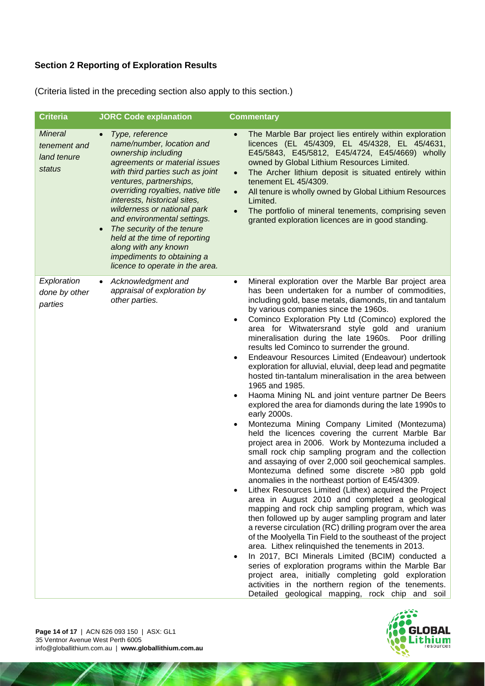### **Section 2 Reporting of Exploration Results**

(Criteria listed in the preceding section also apply to this section.)

| <b>Criteria</b>                                         | <b>JORC Code explanation</b>                                                                                                                                                                                                                                                                                                                                                                                                                                    | <b>Commentary</b>                                                                                                                                                                                                                                                                                                                                                                                                                                                                                                                                                                                                                                                                                                                                                                                                                                                                                                                                                                                                                                                                                                                                                                                                                                                                                                                                                                                                                                                                                                                                                                                                                                                                                                                                                                                                                                   |
|---------------------------------------------------------|-----------------------------------------------------------------------------------------------------------------------------------------------------------------------------------------------------------------------------------------------------------------------------------------------------------------------------------------------------------------------------------------------------------------------------------------------------------------|-----------------------------------------------------------------------------------------------------------------------------------------------------------------------------------------------------------------------------------------------------------------------------------------------------------------------------------------------------------------------------------------------------------------------------------------------------------------------------------------------------------------------------------------------------------------------------------------------------------------------------------------------------------------------------------------------------------------------------------------------------------------------------------------------------------------------------------------------------------------------------------------------------------------------------------------------------------------------------------------------------------------------------------------------------------------------------------------------------------------------------------------------------------------------------------------------------------------------------------------------------------------------------------------------------------------------------------------------------------------------------------------------------------------------------------------------------------------------------------------------------------------------------------------------------------------------------------------------------------------------------------------------------------------------------------------------------------------------------------------------------------------------------------------------------------------------------------------------------|
| <b>Mineral</b><br>tenement and<br>land tenure<br>status | Type, reference<br>name/number, location and<br>ownership including<br>agreements or material issues<br>with third parties such as joint<br>ventures, partnerships,<br>overriding royalties, native title<br>interests, historical sites,<br>wilderness or national park<br>and environmental settings.<br>The security of the tenure<br>held at the time of reporting<br>along with any known<br>impediments to obtaining a<br>licence to operate in the area. | The Marble Bar project lies entirely within exploration<br>licences (EL 45/4309, EL 45/4328, EL 45/4631,<br>E45/5843, E45/5812, E45/4724, E45/4669) wholly<br>owned by Global Lithium Resources Limited.<br>The Archer lithium deposit is situated entirely within<br>$\bullet$<br>tenement EL 45/4309.<br>All tenure is wholly owned by Global Lithium Resources<br>$\bullet$<br>Limited.<br>The portfolio of mineral tenements, comprising seven<br>$\bullet$<br>granted exploration licences are in good standing.                                                                                                                                                                                                                                                                                                                                                                                                                                                                                                                                                                                                                                                                                                                                                                                                                                                                                                                                                                                                                                                                                                                                                                                                                                                                                                                               |
| Exploration<br>done by other<br>parties                 | Acknowledgment and<br>appraisal of exploration by<br>other parties.                                                                                                                                                                                                                                                                                                                                                                                             | Mineral exploration over the Marble Bar project area<br>٠<br>has been undertaken for a number of commodities,<br>including gold, base metals, diamonds, tin and tantalum<br>by various companies since the 1960s.<br>Cominco Exploration Pty Ltd (Cominco) explored the<br>area for Witwatersrand style gold and uranium<br>mineralisation during the late 1960s.<br>Poor drilling<br>results led Cominco to surrender the ground.<br>Endeavour Resources Limited (Endeavour) undertook<br>٠<br>exploration for alluvial, eluvial, deep lead and pegmatite<br>hosted tin-tantalum mineralisation in the area between<br>1965 and 1985.<br>Haoma Mining NL and joint venture partner De Beers<br>٠<br>explored the area for diamonds during the late 1990s to<br>early 2000s.<br>Montezuma Mining Company Limited (Montezuma)<br>٠<br>held the licences covering the current Marble Bar<br>project area in 2006. Work by Montezuma included a<br>small rock chip sampling program and the collection<br>and assaying of over 2,000 soil geochemical samples.<br>Montezuma defined some discrete >80 ppb gold<br>anomalies in the northeast portion of E45/4309.<br>Lithex Resources Limited (Lithex) acquired the Project<br>area in August 2010 and completed a geological<br>mapping and rock chip sampling program, which was<br>then followed up by auger sampling program and later<br>a reverse circulation (RC) drilling program over the area<br>of the Moolyella Tin Field to the southeast of the project<br>area. Lithex relinquished the tenements in 2013.<br>In 2017, BCI Minerals Limited (BCIM) conducted a<br>series of exploration programs within the Marble Bar<br>project area, initially completing gold exploration<br>activities in the northern region of the tenements.<br>Detailed geological mapping, rock chip and soil |

GLOBAL Lithium

**Page 14 of 17** | ACN 626 093 150 | ASX: GL1 35 Ventnor Avenue West Perth 6005 info@globallithium.com.au | **www.globallithium.com.au**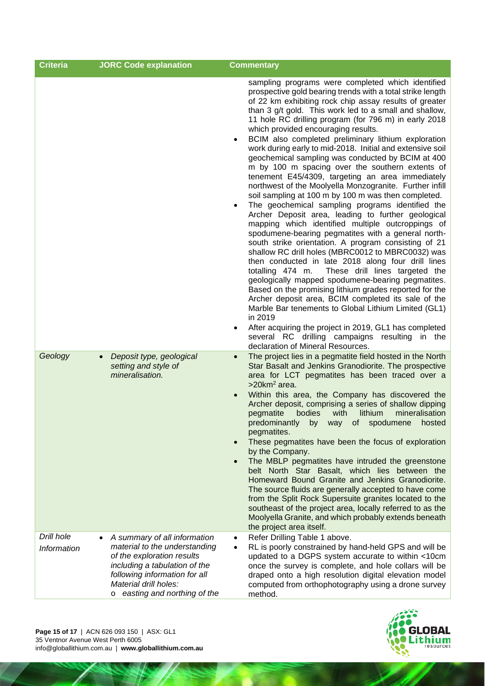| <b>Criteria</b>           | <b>JORC Code explanation</b>                                                                                                                                                                                               | <b>Commentary</b>                                                                                                                                                                                                                                                                                                                                                                                                                                                                                                                                                                                                                                                                                                                                                                                                                                                                                                                                                                                                                                                                                                                                                                                                                                                                                                                                                                                                                                                                                                                                                                                                                                                                                                                       |
|---------------------------|----------------------------------------------------------------------------------------------------------------------------------------------------------------------------------------------------------------------------|-----------------------------------------------------------------------------------------------------------------------------------------------------------------------------------------------------------------------------------------------------------------------------------------------------------------------------------------------------------------------------------------------------------------------------------------------------------------------------------------------------------------------------------------------------------------------------------------------------------------------------------------------------------------------------------------------------------------------------------------------------------------------------------------------------------------------------------------------------------------------------------------------------------------------------------------------------------------------------------------------------------------------------------------------------------------------------------------------------------------------------------------------------------------------------------------------------------------------------------------------------------------------------------------------------------------------------------------------------------------------------------------------------------------------------------------------------------------------------------------------------------------------------------------------------------------------------------------------------------------------------------------------------------------------------------------------------------------------------------------|
| Geology                   | Deposit type, geological<br>setting and style of                                                                                                                                                                           | sampling programs were completed which identified<br>prospective gold bearing trends with a total strike length<br>of 22 km exhibiting rock chip assay results of greater<br>than 3 g/t gold. This work led to a small and shallow,<br>11 hole RC drilling program (for 796 m) in early 2018<br>which provided encouraging results.<br>BCIM also completed preliminary lithium exploration<br>٠<br>work during early to mid-2018. Initial and extensive soil<br>geochemical sampling was conducted by BCIM at 400<br>m by 100 m spacing over the southern extents of<br>tenement E45/4309, targeting an area immediately<br>northwest of the Moolyella Monzogranite. Further infill<br>soil sampling at 100 m by 100 m was then completed.<br>The geochemical sampling programs identified the<br>$\bullet$<br>Archer Deposit area, leading to further geological<br>mapping which identified multiple outcroppings of<br>spodumene-bearing pegmatites with a general north-<br>south strike orientation. A program consisting of 21<br>shallow RC drill holes (MBRC0012 to MBRC0032) was<br>then conducted in late 2018 along four drill lines<br>These drill lines targeted the<br>totalling 474 m.<br>geologically mapped spodumene-bearing pegmatites.<br>Based on the promising lithium grades reported for the<br>Archer deposit area, BCIM completed its sale of the<br>Marble Bar tenements to Global Lithium Limited (GL1)<br>in 2019<br>After acquiring the project in 2019, GL1 has completed<br>٠<br>several RC drilling campaigns resulting in the<br>declaration of Mineral Resources.<br>The project lies in a pegmatite field hosted in the North<br>$\bullet$<br>Star Basalt and Jenkins Granodiorite. The prospective |
|                           | mineralisation.                                                                                                                                                                                                            | area for LCT pegmatites has been traced over a<br>$>20$ km <sup>2</sup> area.<br>Within this area, the Company has discovered the<br>Archer deposit, comprising a series of shallow dipping<br>pegmatite<br>bodies<br>with<br>lithium<br>mineralisation<br>predominantly<br>of<br>spodumene<br>by way<br>hosted<br>pegmatites.<br>These pegmatites have been the focus of exploration<br>by the Company.<br>The MBLP pegmatites have intruded the greenstone<br>belt North Star Basalt, which lies between the<br>Homeward Bound Granite and Jenkins Granodiorite.<br>The source fluids are generally accepted to have come<br>from the Split Rock Supersuite granites located to the<br>southeast of the project area, locally referred to as the<br>Moolyella Granite, and which probably extends beneath<br>the project area itself.                                                                                                                                                                                                                                                                                                                                                                                                                                                                                                                                                                                                                                                                                                                                                                                                                                                                                                 |
| Drill hole<br>Information | A summary of all information<br>material to the understanding<br>of the exploration results<br>including a tabulation of the<br>following information for all<br>Material drill holes:<br>easting and northing of the<br>O | Refer Drilling Table 1 above.<br>٠<br>RL is poorly constrained by hand-held GPS and will be<br>٠<br>updated to a DGPS system accurate to within <10cm<br>once the survey is complete, and hole collars will be<br>draped onto a high resolution digital elevation model<br>computed from orthophotography using a drone survey<br>method.                                                                                                                                                                                                                                                                                                                                                                                                                                                                                                                                                                                                                                                                                                                                                                                                                                                                                                                                                                                                                                                                                                                                                                                                                                                                                                                                                                                               |



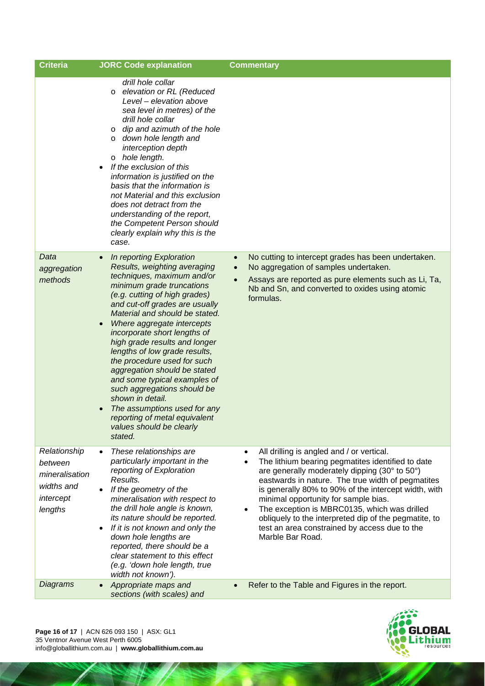| <b>Criteria</b>                                                                 | <b>JORC Code explanation</b>                                                                                                                                                                                                                                                                                                                                                                                                                                                                                                                                                                                       | <b>Commentary</b>                                                                                                                                                                                                                                                                                                                                                                                                                                                                                            |
|---------------------------------------------------------------------------------|--------------------------------------------------------------------------------------------------------------------------------------------------------------------------------------------------------------------------------------------------------------------------------------------------------------------------------------------------------------------------------------------------------------------------------------------------------------------------------------------------------------------------------------------------------------------------------------------------------------------|--------------------------------------------------------------------------------------------------------------------------------------------------------------------------------------------------------------------------------------------------------------------------------------------------------------------------------------------------------------------------------------------------------------------------------------------------------------------------------------------------------------|
|                                                                                 | drill hole collar<br>elevation or RL (Reduced<br>$\circ$<br>Level - elevation above<br>sea level in metres) of the<br>drill hole collar<br>dip and azimuth of the hole<br>$\circ$<br>down hole length and<br>$\circ$<br>interception depth<br>o hole length.<br>If the exclusion of this<br>information is justified on the<br>basis that the information is<br>not Material and this exclusion<br>does not detract from the<br>understanding of the report,<br>the Competent Person should<br>clearly explain why this is the<br>case.                                                                            |                                                                                                                                                                                                                                                                                                                                                                                                                                                                                                              |
| Data<br>aggregation<br>methods                                                  | In reporting Exploration<br>Results, weighting averaging<br>techniques, maximum and/or<br>minimum grade truncations<br>(e.g. cutting of high grades)<br>and cut-off grades are usually<br>Material and should be stated.<br>Where aggregate intercepts<br>incorporate short lengths of<br>high grade results and longer<br>lengths of low grade results,<br>the procedure used for such<br>aggregation should be stated<br>and some typical examples of<br>such aggregations should be<br>shown in detail.<br>The assumptions used for any<br>reporting of metal equivalent<br>values should be clearly<br>stated. | No cutting to intercept grades has been undertaken.<br>$\bullet$<br>No aggregation of samples undertaken.<br>$\bullet$<br>Assays are reported as pure elements such as Li, Ta,<br>$\bullet$<br>Nb and Sn, and converted to oxides using atomic<br>formulas.                                                                                                                                                                                                                                                  |
| Relationship<br>between<br>mineralisation<br>widths and<br>intercept<br>lengths | These relationships are<br>$\bullet$<br>particularly important in the<br>reporting of Exploration<br>Results.<br>If the geometry of the<br>$\bullet$<br>mineralisation with respect to<br>the drill hole angle is known,<br>its nature should be reported.<br>If it is not known and only the<br>down hole lengths are<br>reported, there should be a<br>clear statement to this effect<br>(e.g. 'down hole length, true<br>width not known').                                                                                                                                                                     | All drilling is angled and / or vertical.<br>The lithium bearing pegmatites identified to date<br>$\bullet$<br>are generally moderately dipping (30° to 50°)<br>eastwards in nature. The true width of pegmatites<br>is generally 80% to 90% of the intercept width, with<br>minimal opportunity for sample bias.<br>The exception is MBRC0135, which was drilled<br>$\bullet$<br>obliquely to the interpreted dip of the pegmatite, to<br>test an area constrained by access due to the<br>Marble Bar Road. |
| <b>Diagrams</b>                                                                 | Appropriate maps and<br>$\bullet$<br>sections (with scales) and                                                                                                                                                                                                                                                                                                                                                                                                                                                                                                                                                    | Refer to the Table and Figures in the report.<br>$\bullet$                                                                                                                                                                                                                                                                                                                                                                                                                                                   |

**Page 16 of 17** | ACN 626 093 150 | ASX: GL1 35 Ventnor Avenue West Perth 6005 info@globallithium.com.au | **www.globallithium.com.au**